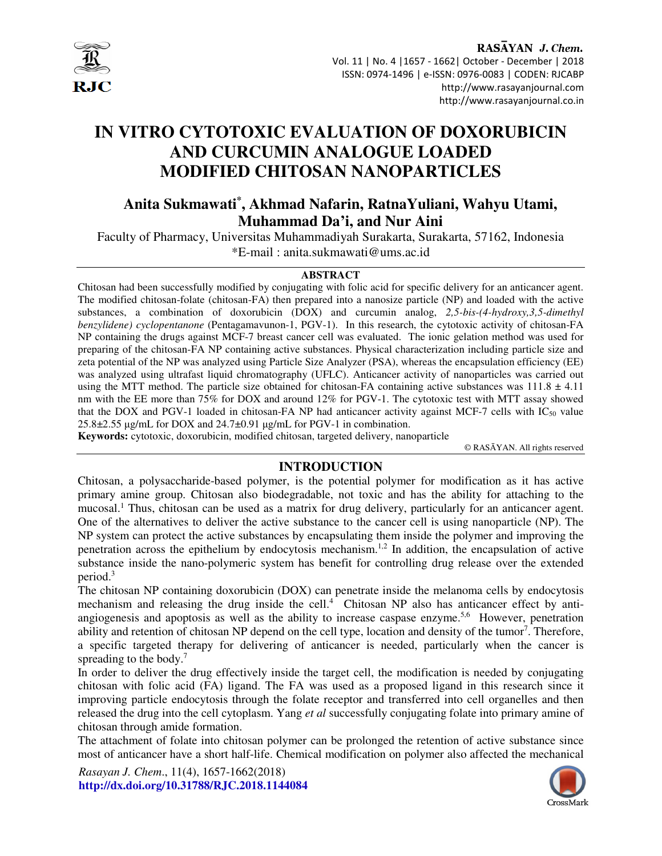

RASAYAN J. Chem. Vol. 11 | No. 4 |1657 - 1662| October - December | 2018 ISSN: 0974-1496 | e-ISSN: 0976-0083 | CODEN: RJCABP http://www.rasayanjournal.com http://www.rasayanjournal.co.in

# **IN VITRO CYTOTOXIC EVALUATION OF DOXORUBICIN AND CURCUMIN ANALOGUE LOADED MODIFIED CHITOSAN NANOPARTICLES**

# **Anita Sukmawati\* , Akhmad Nafarin, RatnaYuliani, Wahyu Utami, Muhammad Da'i, and Nur Aini**

Faculty of Pharmacy, Universitas Muhammadiyah Surakarta, Surakarta, 57162, Indonesia \*E-mail : anita.sukmawati@ums.ac.id

#### **ABSTRACT**

Chitosan had been successfully modified by conjugating with folic acid for specific delivery for an anticancer agent. The modified chitosan-folate (chitosan-FA) then prepared into a nanosize particle (NP) and loaded with the active substances, a combination of doxorubicin (DOX) and curcumin analog, *2,5-bis-(4-hydroxy,3,5-dimethyl benzylidene) cyclopentanone* (Pentagamavunon-1, PGV-1). In this research, the cytotoxic activity of chitosan-FA NP containing the drugs against MCF-7 breast cancer cell was evaluated. The ionic gelation method was used for preparing of the chitosan-FA NP containing active substances. Physical characterization including particle size and zeta potential of the NP was analyzed using Particle Size Analyzer (PSA), whereas the encapsulation efficiency (EE) was analyzed using ultrafast liquid chromatography (UFLC). Anticancer activity of nanoparticles was carried out using the MTT method. The particle size obtained for chitosan-FA containing active substances was  $111.8 \pm 4.11$ nm with the EE more than 75% for DOX and around 12% for PGV-1. The cytotoxic test with MTT assay showed that the DOX and PGV-1 loaded in chitosan-FA NP had anticancer activity against MCF-7 cells with  $IC_{50}$  value 25.8±2.55 µg/mL for DOX and 24.7±0.91 µg/mL for PGV-1 in combination.

**Keywords:** cytotoxic, doxorubicin, modified chitosan, targeted delivery, nanoparticle

© RASĀYAN. All rights reserved

# **INTRODUCTION**

Chitosan, a polysaccharide-based polymer, is the potential polymer for modification as it has active primary amine group. Chitosan also biodegradable, not toxic and has the ability for attaching to the mucosal.<sup>1</sup> Thus, chitosan can be used as a matrix for drug delivery, particularly for an anticancer agent. One of the alternatives to deliver the active substance to the cancer cell is using nanoparticle (NP). The NP system can protect the active substances by encapsulating them inside the polymer and improving the penetration across the epithelium by endocytosis mechanism.1,2 In addition, the encapsulation of active substance inside the nano-polymeric system has benefit for controlling drug release over the extended period.<sup>3</sup>

The chitosan NP containing doxorubicin (DOX) can penetrate inside the melanoma cells by endocytosis mechanism and releasing the drug inside the cell.<sup>4</sup> Chitosan NP also has anticancer effect by antiangiogenesis and apoptosis as well as the ability to increase caspase enzyme.<sup>5,6</sup> However, penetration ability and retention of chitosan NP depend on the cell type, location and density of the tumor<sup>7</sup>. Therefore, a specific targeted therapy for delivering of anticancer is needed, particularly when the cancer is spreading to the body.<sup>7</sup>

In order to deliver the drug effectively inside the target cell, the modification is needed by conjugating chitosan with folic acid (FA) ligand. The FA was used as a proposed ligand in this research since it improving particle endocytosis through the folate receptor and transferred into cell organelles and then released the drug into the cell cytoplasm. Yang *et al* successfully conjugating folate into primary amine of chitosan through amide formation.

The attachment of folate into chitosan polymer can be prolonged the retention of active substance since most of anticancer have a short half-life. Chemical modification on polymer also affected the mechanical

*Rasayan J. Chem*., 11(4), 1657-1662(2018) **http://dx.doi.org/10.31788/RJC.2018.1144084** 

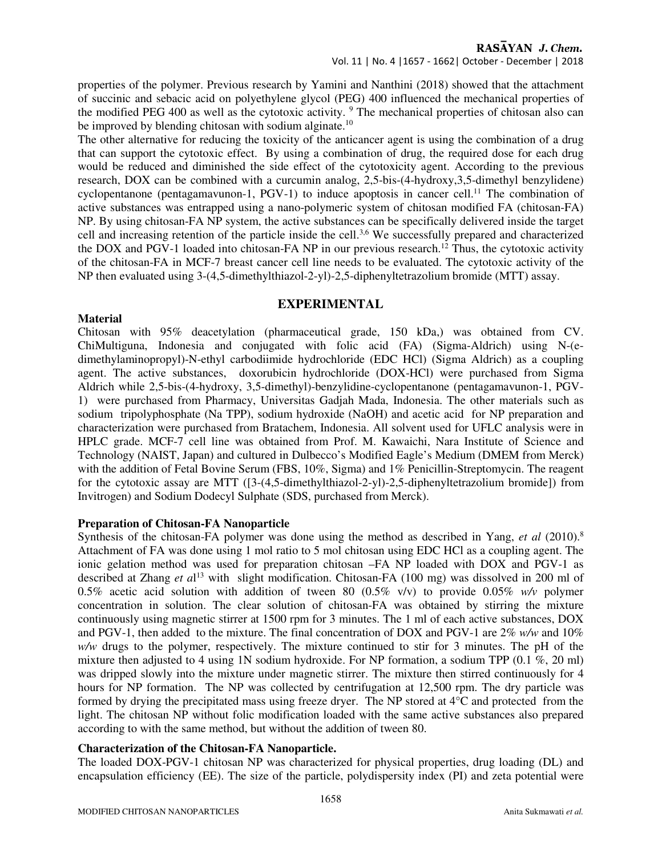Vol. 11 | No. 4 |1657 - 1662| October - December | 2018

properties of the polymer. Previous research by Yamini and Nanthini (2018) showed that the attachment of succinic and sebacic acid on polyethylene glycol (PEG) 400 influenced the mechanical properties of the modified PEG 400 as well as the cytotoxic activity. <sup>9</sup> The mechanical properties of chitosan also can be improved by blending chitosan with sodium alginate.<sup>10</sup>

The other alternative for reducing the toxicity of the anticancer agent is using the combination of a drug that can support the cytotoxic effect. By using a combination of drug, the required dose for each drug would be reduced and diminished the side effect of the cytotoxicity agent. According to the previous research, DOX can be combined with a curcumin analog, 2,5-bis-(4-hydroxy,3,5-dimethyl benzylidene) cyclopentanone (pentagamavunon-1,  $PGV-1$ ) to induce apoptosis in cancer cell.<sup>11</sup> The combination of active substances was entrapped using a nano-polymeric system of chitosan modified FA (chitosan-FA) NP. By using chitosan-FA NP system, the active substances can be specifically delivered inside the target cell and increasing retention of the particle inside the cell.<sup>3,6</sup> We successfully prepared and characterized the DOX and PGV-1 loaded into chitosan-FA NP in our previous research.<sup>12</sup> Thus, the cytotoxic activity of the chitosan-FA in MCF-7 breast cancer cell line needs to be evaluated. The cytotoxic activity of the NP then evaluated using 3-(4,5-dimethylthiazol-2-yl)-2,5-diphenyltetrazolium bromide (MTT) assay.

# **EXPERIMENTAL**

# Chitosan with 95% deacetylation (pharmaceutical grade, 150 kDa,) was obtained from CV. ChiMultiguna, Indonesia and conjugated with folic acid (FA) (Sigma-Aldrich) using N-(edimethylaminopropyl)-N-ethyl carbodiimide hydrochloride (EDC HCl) (Sigma Aldrich) as a coupling agent. The active substances, doxorubicin hydrochloride (DOX-HCl) were purchased from Sigma Aldrich while 2,5-bis-(4-hydroxy, 3,5-dimethyl)-benzylidine-cyclopentanone (pentagamavunon-1, PGV-1) were purchased from Pharmacy, Universitas Gadjah Mada, Indonesia. The other materials such as sodium tripolyphosphate (Na TPP), sodium hydroxide (NaOH) and acetic acid for NP preparation and characterization were purchased from Bratachem, Indonesia. All solvent used for UFLC analysis were in HPLC grade. MCF-7 cell line was obtained from Prof. M. Kawaichi, Nara Institute of Science and Technology (NAIST, Japan) and cultured in Dulbecco's Modified Eagle's Medium (DMEM from Merck) with the addition of Fetal Bovine Serum (FBS, 10%, Sigma) and 1% Penicillin-Streptomycin. The reagent for the cytotoxic assay are MTT ([3-(4,5-dimethylthiazol-2-yl)-2,5-diphenyltetrazolium bromide]) from Invitrogen) and Sodium Dodecyl Sulphate (SDS, purchased from Merck).

# **Preparation of Chitosan-FA Nanoparticle**

**Material** 

Synthesis of the chitosan-FA polymer was done using the method as described in Yang, *et al* (2010).<sup>8</sup> Attachment of FA was done using 1 mol ratio to 5 mol chitosan using EDC HCl as a coupling agent. The ionic gelation method was used for preparation chitosan –FA NP loaded with DOX and PGV-1 as described at Zhang *et a*l <sup>13</sup> with slight modification. Chitosan-FA (100 mg) was dissolved in 200 ml of 0.5% acetic acid solution with addition of tween 80 (0.5% v/v) to provide 0.05% *w/v* polymer concentration in solution. The clear solution of chitosan-FA was obtained by stirring the mixture continuously using magnetic stirrer at 1500 rpm for 3 minutes. The 1 ml of each active substances, DOX and PGV-1, then added to the mixture. The final concentration of DOX and PGV-1 are 2% *w/w* and 10% *w/w* drugs to the polymer, respectively. The mixture continued to stir for 3 minutes. The pH of the mixture then adjusted to 4 using 1N sodium hydroxide. For NP formation, a sodium TPP (0.1 %, 20 ml) was dripped slowly into the mixture under magnetic stirrer. The mixture then stirred continuously for 4 hours for NP formation. The NP was collected by centrifugation at 12,500 rpm. The dry particle was formed by drying the precipitated mass using freeze dryer. The NP stored at 4°C and protected from the light. The chitosan NP without folic modification loaded with the same active substances also prepared according to with the same method, but without the addition of tween 80.

# **Characterization of the Chitosan-FA Nanoparticle.**

The loaded DOX-PGV-1 chitosan NP was characterized for physical properties, drug loading (DL) and encapsulation efficiency (EE). The size of the particle, polydispersity index (PI) and zeta potential were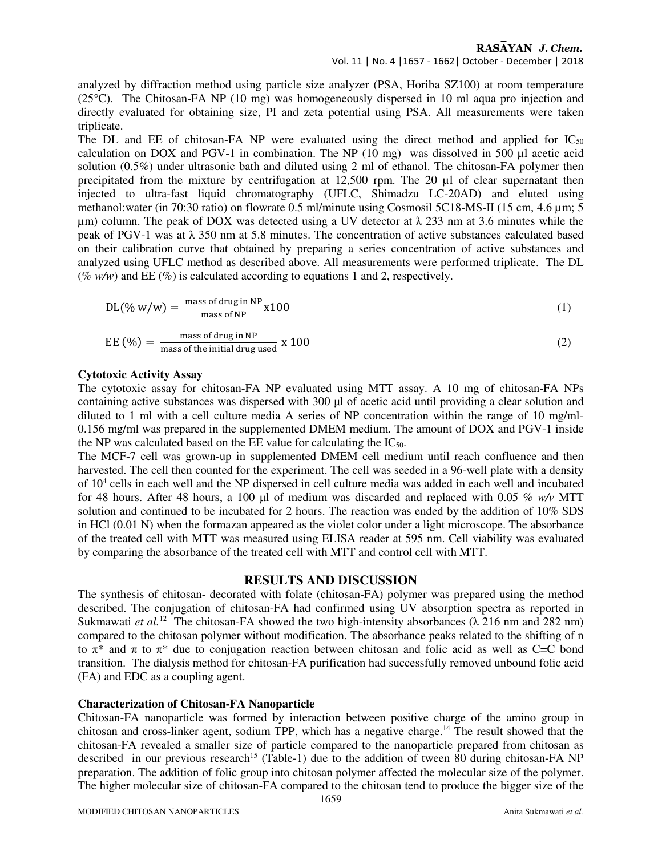### Vol. 11 | No. 4 |1657 - 1662| October - December | 2018

analyzed by diffraction method using particle size analyzer (PSA, Horiba SZ100) at room temperature (25°C). The Chitosan-FA NP (10 mg) was homogeneously dispersed in 10 ml aqua pro injection and directly evaluated for obtaining size, PI and zeta potential using PSA. All measurements were taken triplicate.

The DL and EE of chitosan-FA NP were evaluated using the direct method and applied for  $IC_{50}$ calculation on DOX and PGV-1 in combination. The NP  $(10 \text{ mg})$  was dissolved in 500 µl acetic acid solution (0.5%) under ultrasonic bath and diluted using 2 ml of ethanol. The chitosan-FA polymer then precipitated from the mixture by centrifugation at 12,500 rpm. The 20 µl of clear supernatant then injected to ultra-fast liquid chromatography (UFLC, Shimadzu LC-20AD) and eluted using methanol:water (in 70:30 ratio) on flowrate 0.5 ml/minute using Cosmosil 5C18-MS-II (15 cm, 4.6 µm; 5  $\mu$ m) column. The peak of DOX was detected using a UV detector at  $\lambda$  233 nm at 3.6 minutes while the peak of PGV-1 was at  $\lambda$  350 nm at 5.8 minutes. The concentration of active substances calculated based on their calibration curve that obtained by preparing a series concentration of active substances and analyzed using UFLC method as described above. All measurements were performed triplicate. The DL (%  $w/w$ ) and EE (%) is calculated according to equations 1 and 2, respectively.

$$
DL(\% w/w) = \frac{\text{mass of drug in NP}}{\text{mass of NP}} \times 100
$$
 (1)

$$
EE (%) = \frac{\text{mass of drug in NP}}{\text{mass of the initial drug used}} \times 100
$$
 (2)

#### **Cytotoxic Activity Assay**

The cytotoxic assay for chitosan-FA NP evaluated using MTT assay. A 10 mg of chitosan-FA NPs containing active substances was dispersed with 300 µl of acetic acid until providing a clear solution and diluted to 1 ml with a cell culture media A series of NP concentration within the range of 10 mg/ml-0.156 mg/ml was prepared in the supplemented DMEM medium. The amount of DOX and PGV-1 inside the NP was calculated based on the EE value for calculating the  $IC_{50}$ .

The MCF-7 cell was grown-up in supplemented DMEM cell medium until reach confluence and then harvested. The cell then counted for the experiment. The cell was seeded in a 96-well plate with a density of 10<sup>4</sup> cells in each well and the NP dispersed in cell culture media was added in each well and incubated for 48 hours. After 48 hours, a 100 µl of medium was discarded and replaced with 0.05 % *w/v* MTT solution and continued to be incubated for 2 hours. The reaction was ended by the addition of 10% SDS in HCl (0.01 N) when the formazan appeared as the violet color under a light microscope. The absorbance of the treated cell with MTT was measured using ELISA reader at 595 nm. Cell viability was evaluated by comparing the absorbance of the treated cell with MTT and control cell with MTT.

#### **RESULTS AND DISCUSSION**

The synthesis of chitosan- decorated with folate (chitosan-FA) polymer was prepared using the method described. The conjugation of chitosan-FA had confirmed using UV absorption spectra as reported in Sukmawati *et al.*<sup>12</sup> The chitosan-FA showed the two high-intensity absorbances (λ 216 nm and 282 nm) compared to the chitosan polymer without modification. The absorbance peaks related to the shifting of n to  $\pi^*$  and  $\pi$  to  $\pi^*$  due to conjugation reaction between chitosan and folic acid as well as C=C bond transition. The dialysis method for chitosan-FA purification had successfully removed unbound folic acid (FA) and EDC as a coupling agent.

#### **Characterization of Chitosan-FA Nanoparticle**

Chitosan-FA nanoparticle was formed by interaction between positive charge of the amino group in chitosan and cross-linker agent, sodium TPP, which has a negative charge.<sup>14</sup> The result showed that the chitosan-FA revealed a smaller size of particle compared to the nanoparticle prepared from chitosan as described in our previous research<sup>15</sup> (Table-1) due to the addition of tween 80 during chitosan-FA NP preparation. The addition of folic group into chitosan polymer affected the molecular size of the polymer. The higher molecular size of chitosan-FA compared to the chitosan tend to produce the bigger size of the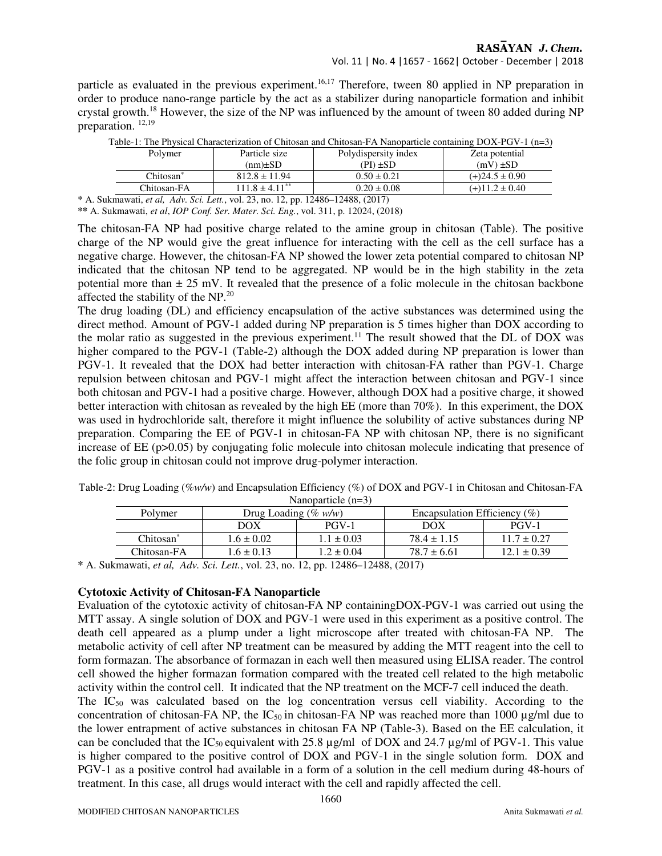particle as evaluated in the previous experiment.<sup>16,17</sup> Therefore, tween 80 applied in NP preparation in order to produce nano-range particle by the act as a stabilizer during nanoparticle formation and inhibit crystal growth.<sup>18</sup> However, the size of the NP was influenced by the amount of tween 80 added during NP preparation.  $12,19$ 

|                                                                 | Polymer               | Particle size                  | Polydispersity index | Zeta potential     |  |  |
|-----------------------------------------------------------------|-----------------------|--------------------------------|----------------------|--------------------|--|--|
|                                                                 |                       | $(nm) \pm SD$                  | (PI) ±SD             | $(mV) \pm SD$      |  |  |
|                                                                 | Chitosan <sup>*</sup> | $812.8 \pm 11.94$              | $0.50 \pm 0.21$      | $(+)24.5 \pm 0.90$ |  |  |
|                                                                 | Chitosan-FA           | $111.8 \pm 4.11$ <sup>**</sup> | $0.20 \pm 0.08$      | $(+)11.2 \pm 0.40$ |  |  |
| ulamowati at al Adu Sai Latt yol 22 no 12 nn 12486 12488 (2017) |                       |                                |                      |                    |  |  |

Table-1: The Physical Characterization of Chitosan and Chitosan-FA Nanoparticle containing DOX-PGV-1 (n=3)

**\*** A. Sukmawati, *et al, Adv. Sci. Lett.*, vol. 23, no. 12, pp. 12486–12488, (2017)

**\*\*** A. Sukmawati, *et al*, *IOP Conf. Ser. Mater. Sci. Eng.*, vol. 311, p. 12024, (2018)

The chitosan-FA NP had positive charge related to the amine group in chitosan (Table). The positive charge of the NP would give the great influence for interacting with the cell as the cell surface has a negative charge. However, the chitosan-FA NP showed the lower zeta potential compared to chitosan NP indicated that the chitosan NP tend to be aggregated. NP would be in the high stability in the zeta potential more than  $\pm 25$  mV. It revealed that the presence of a folic molecule in the chitosan backbone affected the stability of the NP.<sup>20</sup>

The drug loading (DL) and efficiency encapsulation of the active substances was determined using the direct method. Amount of PGV-1 added during NP preparation is 5 times higher than DOX according to the molar ratio as suggested in the previous experiment.<sup>11</sup> The result showed that the DL of DOX was higher compared to the PGV-1 (Table-2) although the DOX added during NP preparation is lower than PGV-1. It revealed that the DOX had better interaction with chitosan-FA rather than PGV-1. Charge repulsion between chitosan and PGV-1 might affect the interaction between chitosan and PGV-1 since both chitosan and PGV-1 had a positive charge. However, although DOX had a positive charge, it showed better interaction with chitosan as revealed by the high EE (more than 70%). In this experiment, the DOX was used in hydrochloride salt, therefore it might influence the solubility of active substances during NP preparation. Comparing the EE of PGV-1 in chitosan-FA NP with chitosan NP, there is no significant increase of  $EE$  (p $>0.05$ ) by conjugating folic molecule into chitosan molecule indicating that presence of the folic group in chitosan could not improve drug-polymer interaction.

| Nanoparticle $(n=3)$  |                         |                |                                  |                 |  |  |  |
|-----------------------|-------------------------|----------------|----------------------------------|-----------------|--|--|--|
| Polymer               | Drug Loading (% $w/w$ ) |                | Encapsulation Efficiency $(\% )$ |                 |  |  |  |
|                       | DOX                     | $PGV-1$        | DOX                              | $PGV-1$         |  |  |  |
| Chitosan <sup>®</sup> | $1.6 \pm 0.02$          | $1.1 \pm 0.03$ | $78.4 \pm 1.15$                  | $11.7 \pm 0.27$ |  |  |  |
| Chitosan-FA           | $1.6 \pm 0.13$          | $1.2 \pm 0.04$ | $78.7 \pm 6.61$                  | $12.1 \pm 0.39$ |  |  |  |

Table-2: Drug Loading (%*w/w*) and Encapsulation Efficiency (%) of DOX and PGV-1 in Chitosan and Chitosan-FA

**\*** A. Sukmawati, *et al, Adv. Sci. Lett.*, vol. 23, no. 12, pp. 12486–12488, (2017)

#### **Cytotoxic Activity of Chitosan-FA Nanoparticle**

Evaluation of the cytotoxic activity of chitosan-FA NP containingDOX-PGV-1 was carried out using the MTT assay. A single solution of DOX and PGV-1 were used in this experiment as a positive control. The death cell appeared as a plump under a light microscope after treated with chitosan-FA NP. The metabolic activity of cell after NP treatment can be measured by adding the MTT reagent into the cell to form formazan. The absorbance of formazan in each well then measured using ELISA reader. The control cell showed the higher formazan formation compared with the treated cell related to the high metabolic activity within the control cell. It indicated that the NP treatment on the MCF-7 cell induced the death.

The  $IC_{50}$  was calculated based on the log concentration versus cell viability. According to the concentration of chitosan-FA NP, the  $IC_{50}$  in chitosan-FA NP was reached more than 1000  $\mu$ g/ml due to the lower entrapment of active substances in chitosan FA NP (Table-3). Based on the EE calculation, it can be concluded that the IC<sub>50</sub> equivalent with 25.8  $\mu$ g/ml of DOX and 24.7  $\mu$ g/ml of PGV-1. This value is higher compared to the positive control of DOX and PGV-1 in the single solution form. DOX and PGV-1 as a positive control had available in a form of a solution in the cell medium during 48-hours of treatment. In this case, all drugs would interact with the cell and rapidly affected the cell.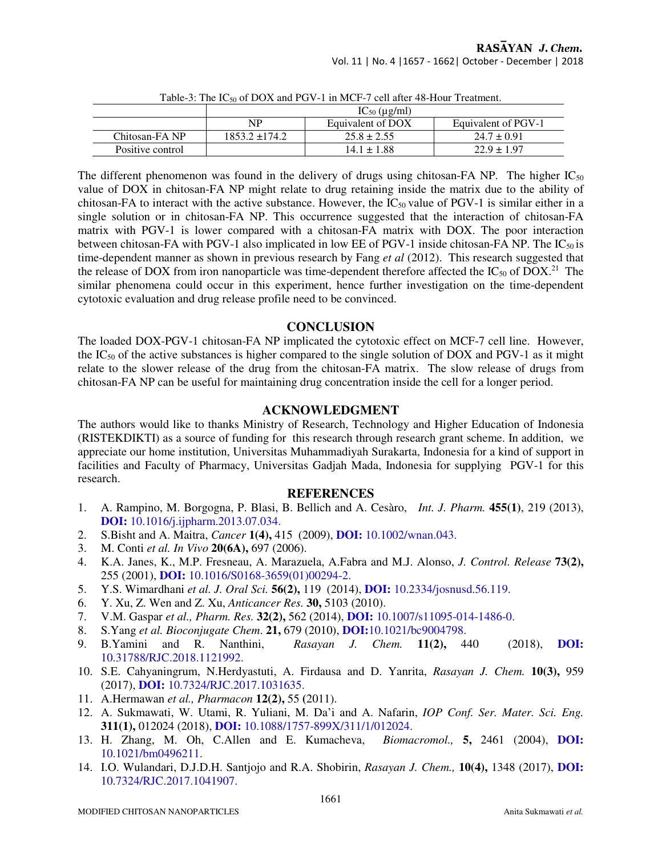| Table 5. The Test of DOA and I O $r = 1$ in MCT -7 cen and 40-Tiour Treatment. |                    |                   |                     |  |  |  |  |
|--------------------------------------------------------------------------------|--------------------|-------------------|---------------------|--|--|--|--|
|                                                                                | $IC_{50}$ (µg/ml)  |                   |                     |  |  |  |  |
|                                                                                | NP                 | Equivalent of DOX | Equivalent of PGV-1 |  |  |  |  |
| Chitosan-FA NP                                                                 | $1853.2 \pm 174.2$ | $25.8 \pm 2.55$   | $24.7 \pm 0.91$     |  |  |  |  |
| Positive control                                                               |                    | $14.1 \pm 1.88$   | $22.9 \pm 1.97$     |  |  |  |  |

Table-3: The IC<sub>50</sub> of DOX and PGV-1 in MCF-7 cell after 48-Hour Treatment.

The different phenomenon was found in the delivery of drugs using chitosan-FA NP. The higher  $IC_{50}$ value of DOX in chitosan-FA NP might relate to drug retaining inside the matrix due to the ability of chitosan-FA to interact with the active substance. However, the  $IC_{50}$  value of PGV-1 is similar either in a single solution or in chitosan-FA NP. This occurrence suggested that the interaction of chitosan-FA matrix with PGV-1 is lower compared with a chitosan-FA matrix with DOX. The poor interaction between chitosan-FA with PGV-1 also implicated in low EE of PGV-1 inside chitosan-FA NP. The  $IC_{50}$  is time-dependent manner as shown in previous research by Fang *et al* (2012). This research suggested that the release of DOX from iron nanoparticle was time-dependent therefore affected the  $IC_{50}$  of DOX.<sup>21</sup> The similar phenomena could occur in this experiment, hence further investigation on the time-dependent cytotoxic evaluation and drug release profile need to be convinced.

# **CONCLUSION**

The loaded DOX-PGV-1 chitosan-FA NP implicated the cytotoxic effect on MCF-7 cell line. However, the  $IC_{50}$  of the active substances is higher compared to the single solution of DOX and PGV-1 as it might relate to the slower release of the drug from the chitosan-FA matrix. The slow release of drugs from chitosan-FA NP can be useful for maintaining drug concentration inside the cell for a longer period.

# **ACKNOWLEDGMENT**

The authors would like to thanks Ministry of Research, Technology and Higher Education of Indonesia (RISTEKDIKTI) as a source of funding for this research through research grant scheme. In addition, we appreciate our home institution, Universitas Muhammadiyah Surakarta, Indonesia for a kind of support in facilities and Faculty of Pharmacy, Universitas Gadjah Mada, Indonesia for supplying PGV-1 for this research.

# **REFERENCES**

- 1. A. Rampino, M. Borgogna, P. Blasi, B. Bellich and A. Cesàro, *Int. J. Pharm.* **455(1)**, 219 (2013), **DOI:** 10.1016/j.ijpharm.2013.07.034.
- 2. S.Bisht and A. Maitra, *Cancer* **1(4),** 415 (2009), **DOI:** 10.1002/wnan.043.
- 3. M. Conti *et al. In Vivo* **20(6A),** 697 (2006).
- 4. K.A. Janes, K., M.P. Fresneau, A. Marazuela, A.Fabra and M.J. Alonso, *J. Control. Release* **73(2),** 255 (2001), **DOI:** 10.1016/S0168-3659(01)00294-2.
- 5. Y.S. Wimardhani *et al. J. Oral Sci.* **56(2),** 119 (2014), **DOI:** 10.2334/josnusd.56.119.
- 6. Y. Xu, Z. Wen and Z. Xu, *Anticancer Res.* **30,** 5103 (2010).
- 7. V.M. Gaspar *et al., Pharm. Res.* **32(2),** 562 (2014), **DOI:** 10.1007/s11095-014-1486-0.
- 8. S.Yang *et al. Bioconjugate Chem*. **21,** 679 (2010), **DOI:**10.1021/bc9004798.
- 9. B.Yamini and R. Nanthini, *Rasayan J. Chem.* **11(2),** 440 (2018), **DOI:**  10.31788/RJC.2018.1121992.
- 10. S.E. Cahyaningrum, N.Herdyastuti, A. Firdausa and D. Yanrita, *Rasayan J. Chem.* **10(3),** 959 (2017), **DOI:** 10.7324/RJC.2017.1031635.
- 11. A.Hermawan *et al., Pharmacon* **12(2),** 55 **(**2011).
- 12. A. Sukmawati, W. Utami, R. Yuliani, M. Da'i and A. Nafarin, *IOP Conf. Ser. Mater. Sci. Eng.* **311(1),** 012024 (2018), **DOI:** 10.1088/1757-899X/311/1/012024.
- 13. H. Zhang, M. Oh, C.Allen and E. Kumacheva, *Biomacromol.,* **5,** 2461 (2004), **DOI:**  10.1021/bm0496211.
- 14. I.O. Wulandari, D.J.D.H. Santjojo and R.A. Shobirin, *Rasayan J. Chem.,* **10(4),** 1348 (2017), **DOI:**  10.7324/RJC.2017.1041907.